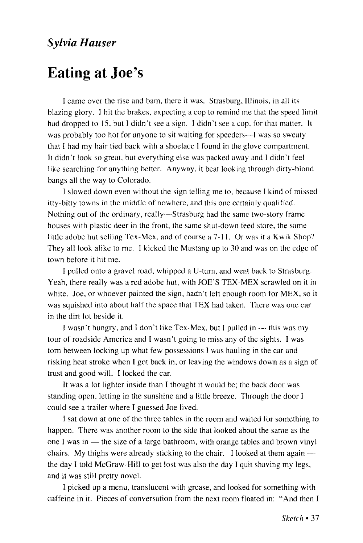## *Sylvia Hauser*

## Eating at Joe's

I came over the rise and bam, there it was. Strasburg, Illinois, in all its blazing glory. I hit the brakes, expecting a cop to remind me that the speed limit had dropped to 15, but I didn't see a sign. I didn't see a cop, for that matter. It was probably too hot for anyone to sit waiting for speeders—I was so sweaty that I had my hair tied back with a shoelace I found in the glove compartment. It didn't look so great, but everything else was packed away and I didn't feel like searching for anything better. Anyway, it beat looking through dirty-blond bangs all the way to Colorado.

I slowed down even without the sign telling me to, because I kind of missed itty-bitty towns in the middle of nowhere, and this one certainly qualified. Nothing out of the ordinary, really—Strasburg had the same two-story frame houses with plastic deer in the front, the same shut-down feed store, the same little adobe hut selling Tex-Mex, and of course a 7-11. Or was it a Kwik Shop? They all look alike to me. I kicked the Mustang up to 30 and was on the edge of town before it hit me.

I pulled onto a gravel road, whipped a U-turn, and went back to Strasburg. Yeah, there really was a red adobe hut, with JOE'S TEX-MEX scrawled on it in white. Joe, or whoever painted the sign, hadn't left enough room for MEX, so it was squished into about half the space that TEX had taken. There was one car in the dirt lot beside it.

I wasn't hungry, and I don't like Tex-Mex, but I pulled in — this was my tour of roadside America and I wasn't going to miss any of the sights. I was torn between locking up what few possessions I was hauling in the car and risking heat stroke when I got back in, or leaving the windows down as a sign of trust and good will. I locked the car.

It was a lot lighter inside than I thought it would be; the back door was standing open, letting in the sunshine and a little breeze. Through the door I could see a trailer where I guessed Joe lived.

I sat down at one of the three tables in the room and waited for something to happen. There was another room to the side that looked about the same as the one I was in — the size of a large bathroom, with orange tables and brown vinyl chairs. My thighs were already sticking to the chair. I looked at them again the day I told McGraw-Hill to get lost was also the day I quit shaving my legs, and it was still pretty novel.

I picked up a menu, translucent with grease, and looked for something with caffeine in it. Pieces of conversation from the next room floated in: "And then I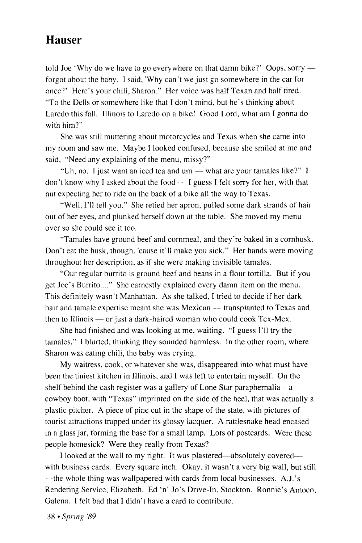## **Hauser**

told Joe 'Why do we have to go everywhere on that damn bike?' Oops, sorry forgot about the baby. I said, "Why can't we just go somewhere in the car for once?' Here's your chili, Sharon." Her voice was half Texan and half tired. "To the Dells or somewhere like that I don't mind, but he's thinking about Laredo this fall. Illinois to Laredo on a bike! Good Lord, what am I gonna do with him?"

She was still muttering about motorcycles and Texas when she came into my room and saw me. Maybe I looked confused, because she smiled at me and said, "Need any explaining of the menu, missy?"

"Uh, no. I just want an iced tea and um — what are your tamales like?" I don't know why I asked about the food — I guess I felt sorry for her, with that nut expecting her to ride on the back of a bike all the way to Texas.

"Well, I'll tell you." She retied her apron, pulled some dark strands of hair out of her eyes, and plunked herself down at the table. She moved my menu over so she could see it too.

"Tamales have ground beef and cornmeal, and they're baked in a cornhusk. Don't eat the husk, though, 'cause it'll make you sick." Her hands were moving throughout her description, as if she were making invisible tamales.

"Our regular burrito is ground beef and beans in a flour tortilla. But if you get Joe's Burrito...." She earnestly explained every damn item on the menu. This definitely wasn't Manhattan. As she talked, I tried to decide if her dark hair and tamale expertise meant she was Mexican — transplanted to Texas and then to Illinois — or just a dark-haired woman who could cook Tex-Mex.

She had finished and was looking at me, waiting. "I guess I'll try the tamales." I blurted, thinking they sounded harmless. In the other room, where Sharon was eating chili, the baby was crying.

My waitress, cook, or whatever she was, disappeared into what must have been the tiniest kitchen in Illinois, and I was left to entertain myself. On the shelf behind the cash register was a gallery of Lone Star paraphernalia—a cowboy boot, with "Texas" imprinted on the side of the heel, that was actually a plastic pitcher. A piece of pine cut in the shape of the state, with pictures of tourist attractions trapped under its glossy lacquer. A rattlesnake head encased in a glass jar, forming the base for a small lamp. Lots of postcards. Were these people homesick? Were they really from Texas?

I looked at the wall to my right. It was plastered—absolutely covered with business cards. Every square inch. Okay, it wasn't a very big wall, but still —the whole thing was wallpapered with cards from local businesses. A.J.'s Rendering Service, Elizabeth. Ed 'n' Jo's Drive-in, Stockton. Ronnie's Amoco, Galena. I felt bad that I didn't have a card to contribute.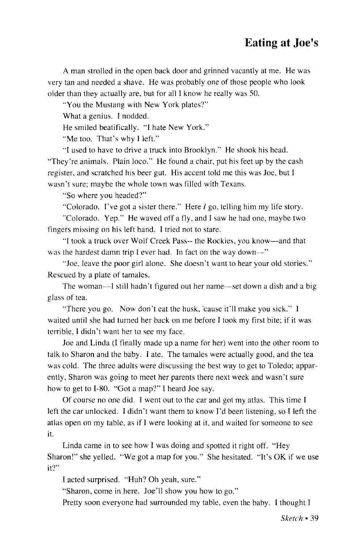A man strolled in the open back door and grinned vacantly at me. He was very tan and needed a shave. He was probably one of those people who look older than they actually are, but for all I know he really was 50.

"You the Mustang with New York plates?"

What a genius. I nodded.

He smiled beatifically. "I hate New York."

"Me too. That's why I left."

"I used to have to drive a truck into Brooklyn." He shook his head. "They're animals. Plain loco." He found a chair, put his feet up by the cash register, and scratched his beer gut. His accent told me this was Joe, but I wasn't sure; maybe the whole town was filled with Texans.

"So where you headed?"

"Colorado. I've got a sister there." Here / go, telling him my life story.

"Colorado. Yep." He waved off a fly, and I saw he had one, maybe two fingers missing on his left hand. I tried not to stare.

"I took a truck over Wolf Creek Pass- the Rockies, you know—and that was the hardest damn trip I ever had. In fact on the way down—"

"Joe, leave the poor girl alone. She doesn't want to hear your old stories." Rescued by a plate of tamales.

The woman—I still hadn't figured out her name—set down a dish and a big glass of tea.

"There you go. Now don't eat the husk,'cause it'll make you sick." I waited until she had turned her back on me before I took my first bite; if it was terrible, I didn't want her to see my face.

Joe and Linda (I finally made up a name for her) went into the other room to talk to Sharon and the baby. I ate. The tamales were actually good, and the tea was cold. The three adults were discussing the best way to get to Toledo; apparently, Sharon was going to meet her parents there next week and wasn't sure how to get to 1-80. "Got a map?" I heard Joe say.

Of course no one did. I went out to the car and got my atlas. This time I left the car unlocked. I didn't want them to know I'd been listening, so I left the atlas open on my table, as if I were looking at it, and waited for someone to see it.

Linda came in to see how I was doing and spotted it right off. "Hey Sharon!" she yelled. "We got a map for you." She hesitated. "It's OK if we use it?"

I acted surprised. "Huh? Oh yeah, sure."

"Sharon, come in here. Joe'll show you how to go."

Pretty soon everyone had surrounded my table, even the baby. I thought I